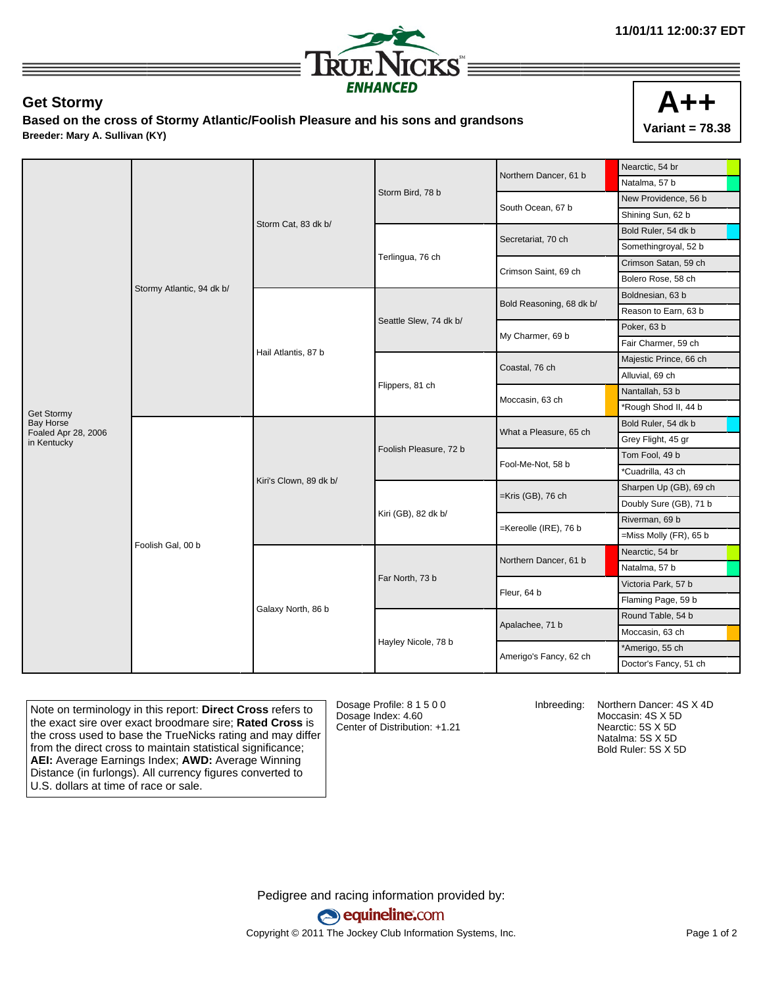

## **Get Stormy**

**Based on the cross of Stormy Atlantic/Foolish Pleasure and his sons and grandsons Breeder: Mary A. Sullivan (KY)**



|                                  | Stormy Atlantic, 94 dk b/ | Storm Cat, 83 dk b/    |                        | Northern Dancer, 61 b    | Nearctic, 54 br           |
|----------------------------------|---------------------------|------------------------|------------------------|--------------------------|---------------------------|
|                                  |                           |                        |                        |                          | Natalma, 57 b             |
|                                  |                           |                        | Storm Bird, 78 b       | South Ocean, 67 b        | New Providence, 56 b      |
|                                  |                           |                        |                        |                          | Shining Sun, 62 b         |
|                                  |                           |                        |                        | Secretariat, 70 ch       | Bold Ruler, 54 dk b       |
|                                  |                           |                        | Terlingua, 76 ch       |                          | Somethingroyal, 52 b      |
|                                  |                           |                        |                        | Crimson Saint, 69 ch     | Crimson Satan, 59 ch      |
|                                  |                           |                        |                        |                          | Bolero Rose, 58 ch        |
|                                  |                           | Hail Atlantis, 87 b    | Seattle Slew, 74 dk b/ | Bold Reasoning, 68 dk b/ | Boldnesian, 63 b          |
|                                  |                           |                        |                        |                          | Reason to Earn, 63 b      |
|                                  |                           |                        |                        | My Charmer, 69 b         | Poker, 63 b               |
|                                  |                           |                        |                        |                          | Fair Charmer, 59 ch       |
|                                  |                           |                        | Flippers, 81 ch        | Coastal, 76 ch           | Majestic Prince, 66 ch    |
|                                  |                           |                        |                        |                          | Alluvial, 69 ch           |
|                                  |                           |                        |                        | Moccasin, 63 ch          | Nantallah, 53 b           |
| Get Stormy                       |                           |                        |                        |                          | *Rough Shod II, 44 b      |
| Bay Horse<br>Foaled Apr 28, 2006 | Foolish Gal, 00 b         | Kiri's Clown, 89 dk b/ | Foolish Pleasure, 72 b | What a Pleasure, 65 ch   | Bold Ruler, 54 dk b       |
| in Kentucky                      |                           |                        |                        |                          | Grey Flight, 45 gr        |
|                                  |                           |                        |                        | Fool-Me-Not, 58 b        | Tom Fool, 49 b            |
|                                  |                           |                        |                        |                          | *Cuadrilla, 43 ch         |
|                                  |                           |                        | Kiri (GB), 82 dk b/    | $=$ Kris (GB), 76 ch     | Sharpen Up (GB), 69 ch    |
|                                  |                           |                        |                        |                          | Doubly Sure (GB), 71 b    |
|                                  |                           |                        |                        | =Kereolle (IRE), 76 b    | Riverman, 69 b            |
|                                  |                           |                        |                        |                          | $=$ Miss Molly (FR), 65 b |
|                                  |                           | Galaxy North, 86 b     | Far North, 73 b        | Northern Dancer, 61 b    | Nearctic, 54 br           |
|                                  |                           |                        |                        |                          | Natalma, 57 b             |
|                                  |                           |                        |                        | Fleur, 64 b              | Victoria Park, 57 b       |
|                                  |                           |                        |                        |                          | Flaming Page, 59 b        |
|                                  |                           |                        |                        | Apalachee, 71 b          | Round Table, 54 b         |
|                                  |                           |                        | Hayley Nicole, 78 b    |                          | Moccasin, 63 ch           |
|                                  |                           |                        |                        | Amerigo's Fancy, 62 ch   | *Amerigo, 55 ch           |
|                                  |                           |                        |                        |                          | Doctor's Fancy, 51 ch     |

Note on terminology in this report: **Direct Cross** refers to the exact sire over exact broodmare sire; **Rated Cross** is the cross used to base the TrueNicks rating and may differ from the direct cross to maintain statistical significance; **AEI:** Average Earnings Index; **AWD:** Average Winning Distance (in furlongs). All currency figures converted to U.S. dollars at time of race or sale.

Dosage Profile: 8 1 5 0 0 Dosage Index: 4.60 Center of Distribution: +1.21

Inbreeding: Northern Dancer: 4S X 4D Moccasin: 4S X 5D Nearctic: 5S X 5D Natalma: 5S X 5D Bold Ruler: 5S X 5D

Pedigree and racing information provided by: equineline.com Copyright © 2011 The Jockey Club Information Systems, Inc. example 2012 Page 1 of 2